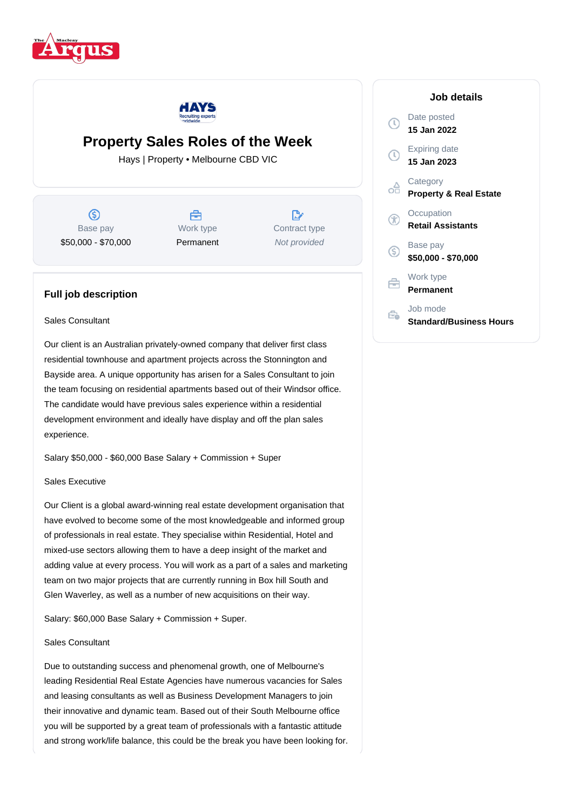



# **Property Sales Roles of the Week**

Hays | Property • Melbourne CBD VIC

൫ Base pay \$50,000 - \$70,000

⇔ Work type Permanent

D. Contract type Not provided

# **Full job description**

#### Sales Consultant

Our client is an Australian privately-owned company that deliver first class residential townhouse and apartment projects across the Stonnington and Bayside area. A unique opportunity has arisen for a Sales Consultant to join the team focusing on residential apartments based out of their Windsor office. The candidate would have previous sales experience within a residential development environment and ideally have display and off the plan sales experience.

Salary \$50,000 - \$60,000 Base Salary + Commission + Super

## Sales Executive

Our Client is a global award-winning real estate development organisation that have evolved to become some of the most knowledgeable and informed group of professionals in real estate. They specialise within Residential, Hotel and mixed-use sectors allowing them to have a deep insight of the market and adding value at every process. You will work as a part of a sales and marketing team on two major projects that are currently running in Box hill South and Glen Waverley, as well as a number of new acquisitions on their way.

Salary: \$60,000 Base Salary + Commission + Super.

#### Sales Consultant

Due to outstanding success and phenomenal growth, one of Melbourne's leading Residential Real Estate Agencies have numerous vacancies for Sales and leasing consultants as well as Business Development Managers to join their innovative and dynamic team. Based out of their South Melbourne office you will be supported by a great team of professionals with a fantastic attitude and strong work/life balance, this could be the break you have been looking for.

### **Job details** Date posted Œ **15 Jan 2022** Expiring date **15 Jan 2023 Category** oå **Property & Real Estate Occupation** G **Retail Assistants** Base pay <sub>(S)</sub> **\$50,000 - \$70,000** Work type Ê. **Permanent** Job mode e. **Standard/Business Hours**